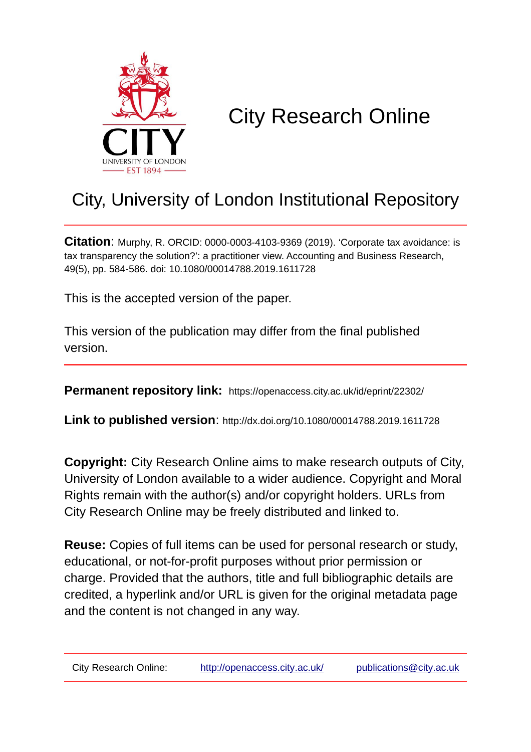

# City Research Online

# City, University of London Institutional Repository

**Citation**: Murphy, R. ORCID: 0000-0003-4103-9369 (2019). 'Corporate tax avoidance: is tax transparency the solution?': a practitioner view. Accounting and Business Research, 49(5), pp. 584-586. doi: 10.1080/00014788.2019.1611728

This is the accepted version of the paper.

This version of the publication may differ from the final published version.

**Permanent repository link:** https://openaccess.city.ac.uk/id/eprint/22302/

**Link to published version**: http://dx.doi.org/10.1080/00014788.2019.1611728

**Copyright:** City Research Online aims to make research outputs of City, University of London available to a wider audience. Copyright and Moral Rights remain with the author(s) and/or copyright holders. URLs from City Research Online may be freely distributed and linked to.

**Reuse:** Copies of full items can be used for personal research or study, educational, or not-for-profit purposes without prior permission or charge. Provided that the authors, title and full bibliographic details are credited, a hyperlink and/or URL is given for the original metadata page and the content is not changed in any way.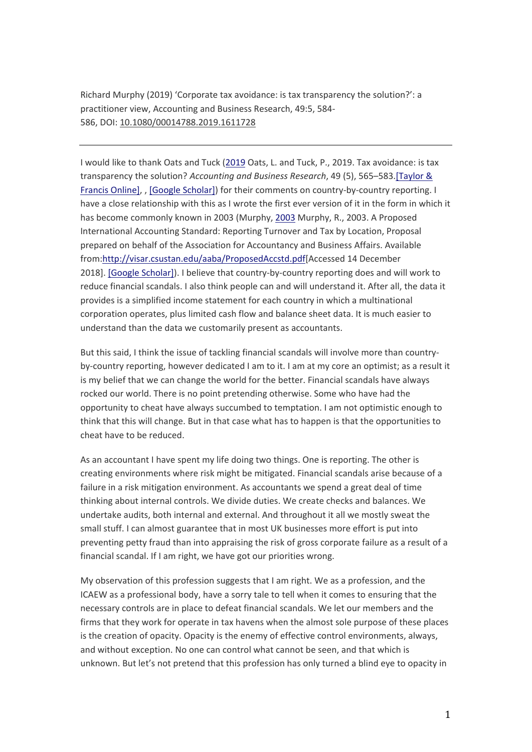Richard Murphy (2019) 'Corporate tax avoidance: is tax transparency the solution?': a practitioner view, Accounting and Business Research, 49:5, 584- 586, DOI: [10.1080/00014788.2019.1611728](https://doi.org/10.1080/00014788.2019.1611728)

I would like to thank Oats and Tuck [\(2019](https://www.tandfonline.com/eprint/pCeknZETSdgacWDq9dMc/full?target=10.1080/00014788.2019.1611728) Oats, L. and Tuck, P., 2019. Tax avoidance: is tax transparency the solution? *Accounting and Business Research*, 49 (5), 565–583[.\[Taylor &](https://www.tandfonline.com/doi/10.1080/00014788.2019.1611726)  [Francis Online\],](https://www.tandfonline.com/doi/10.1080/00014788.2019.1611726) , [\[Google Scholar\]\)](http://scholar.google.com/scholar_lookup?hl=en&publication_year=2019&pages=565-583&issue=5&author=L.+Oats&author=P.+Tuck&title=Tax+avoidance%3A+is+tax+transparency+the+solution%3F) for their comments on country-by-country reporting. I have a close relationship with this as I wrote the first ever version of it in the form in which it has become commonly known in 2003 (Murphy, [2003](https://www.tandfonline.com/eprint/pCeknZETSdgacWDq9dMc/full?target=10.1080/00014788.2019.1611728) Murphy, R., 2003. A Proposed International Accounting Standard: Reporting Turnover and Tax by Location, Proposal prepared on behalf of the Association for Accountancy and Business Affairs. Available from[:http://visar.csustan.edu/aaba/ProposedAccstd.pdf\[](http://visar.csustan.edu/aaba/ProposedAccstd.pdf)Accessed 14 December 2018]. [\[Google Scholar\]\)](http://scholar.google.com/scholar?hl=en&q=Murphy%2C+R.%2C+2003.+A+Proposed+International+Accounting+Standard%3A+Reporting+Turnover+and+Tax+by+Location%2C+Proposal+prepared+on+behalf+of+the+Association+for+Accountancy+and+Business+Affairs.+Available+from%3A+http%3A%2F%2Fvisar.csustan.edu%2Faaba%2FProposedAccstd.pdf+%5BAccessed+14+December+2018%5D.). I believe that country-by-country reporting does and will work to reduce financial scandals. I also think people can and will understand it. After all, the data it provides is a simplified income statement for each country in which a multinational corporation operates, plus limited cash flow and balance sheet data. It is much easier to understand than the data we customarily present as accountants.

But this said, I think the issue of tackling financial scandals will involve more than countryby-country reporting, however dedicated I am to it. I am at my core an optimist; as a result it is my belief that we can change the world for the better. Financial scandals have always rocked our world. There is no point pretending otherwise. Some who have had the opportunity to cheat have always succumbed to temptation. I am not optimistic enough to think that this will change. But in that case what has to happen is that the opportunities to cheat have to be reduced.

As an accountant I have spent my life doing two things. One is reporting. The other is creating environments where risk might be mitigated. Financial scandals arise because of a failure in a risk mitigation environment. As accountants we spend a great deal of time thinking about internal controls. We divide duties. We create checks and balances. We undertake audits, both internal and external. And throughout it all we mostly sweat the small stuff. I can almost guarantee that in most UK businesses more effort is put into preventing petty fraud than into appraising the risk of gross corporate failure as a result of a financial scandal. If I am right, we have got our priorities wrong.

My observation of this profession suggests that I am right. We as a profession, and the ICAEW as a professional body, have a sorry tale to tell when it comes to ensuring that the necessary controls are in place to defeat financial scandals. We let our members and the firms that they work for operate in tax havens when the almost sole purpose of these places is the creation of opacity. Opacity is the enemy of effective control environments, always, and without exception. No one can control what cannot be seen, and that which is unknown. But let's not pretend that this profession has only turned a blind eye to opacity in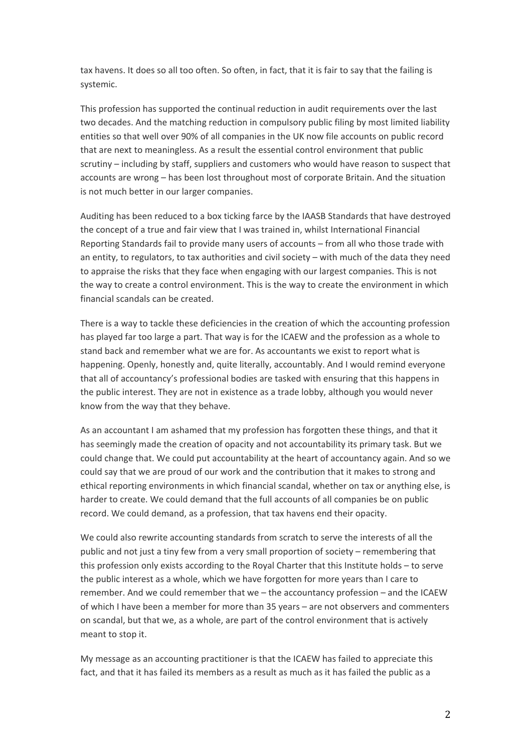tax havens. It does so all too often. So often, in fact, that it is fair to say that the failing is systemic.

This profession has supported the continual reduction in audit requirements over the last two decades. And the matching reduction in compulsory public filing by most limited liability entities so that well over 90% of all companies in the UK now file accounts on public record that are next to meaningless. As a result the essential control environment that public scrutiny – including by staff, suppliers and customers who would have reason to suspect that accounts are wrong – has been lost throughout most of corporate Britain. And the situation is not much better in our larger companies.

Auditing has been reduced to a box ticking farce by the IAASB Standards that have destroyed the concept of a true and fair view that I was trained in, whilst International Financial Reporting Standards fail to provide many users of accounts – from all who those trade with an entity, to regulators, to tax authorities and civil society – with much of the data they need to appraise the risks that they face when engaging with our largest companies. This is not the way to create a control environment. This is the way to create the environment in which financial scandals can be created.

There is a way to tackle these deficiencies in the creation of which the accounting profession has played far too large a part. That way is for the ICAEW and the profession as a whole to stand back and remember what we are for. As accountants we exist to report what is happening. Openly, honestly and, quite literally, accountably. And I would remind everyone that all of accountancy's professional bodies are tasked with ensuring that this happens in the public interest. They are not in existence as a trade lobby, although you would never know from the way that they behave.

As an accountant I am ashamed that my profession has forgotten these things, and that it has seemingly made the creation of opacity and not accountability its primary task. But we could change that. We could put accountability at the heart of accountancy again. And so we could say that we are proud of our work and the contribution that it makes to strong and ethical reporting environments in which financial scandal, whether on tax or anything else, is harder to create. We could demand that the full accounts of all companies be on public record. We could demand, as a profession, that tax havens end their opacity.

We could also rewrite accounting standards from scratch to serve the interests of all the public and not just a tiny few from a very small proportion of society – remembering that this profession only exists according to the Royal Charter that this Institute holds – to serve the public interest as a whole, which we have forgotten for more years than I care to remember. And we could remember that we – the accountancy profession – and the ICAEW of which I have been a member for more than 35 years – are not observers and commenters on scandal, but that we, as a whole, are part of the control environment that is actively meant to stop it.

My message as an accounting practitioner is that the ICAEW has failed to appreciate this fact, and that it has failed its members as a result as much as it has failed the public as a